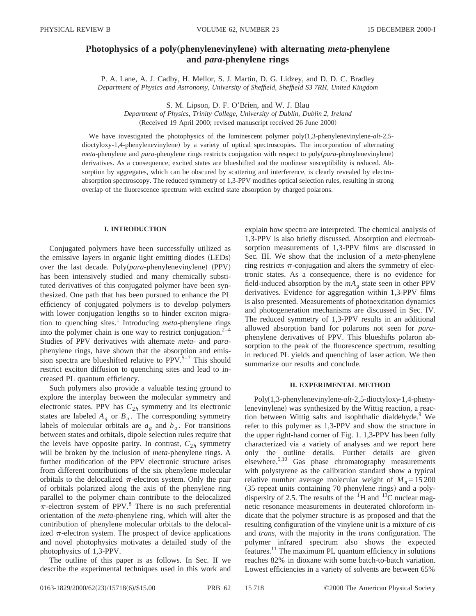# **Photophysics of a poly**"**phenylenevinylene**… **with alternating** *meta***-phenylene and** *para***-phenylene rings**

P. A. Lane, A. J. Cadby, H. Mellor, S. J. Martin, D. G. Lidzey, and D. D. C. Bradley *Department of Physics and Astronomy, University of Sheffield, Sheffield S3 7RH, United Kingdom*

S. M. Lipson, D. F. O'Brien, and W. J. Blau

*Department of Physics, Trinity College, University of Dublin, Dublin 2, Ireland* (Received 19 April 2000; revised manuscript received 26 June 2000)

We have investigated the photophysics of the luminescent polymer poly(1,3-phenylenevinylene-*alt*-2,5dioctyloxy-1,4-phenylenevinylene) by a variety of optical spectroscopies. The incorporation of alternating *meta*-phenylene and *para*-phenylene rings restricts conjugation with respect to poly(*para*-phenylenevinylene) derivatives. As a consequence, excited states are blueshifted and the nonlinear susceptibility is reduced. Absorption by aggregates, which can be obscured by scattering and interference, is clearly revealed by electroabsorption spectroscopy. The reduced symmetry of 1,3-PPV modifies optical selection rules, resulting in strong overlap of the fluorescence spectrum with excited state absorption by charged polarons.

# **I. INTRODUCTION**

Conjugated polymers have been successfully utilized as the emissive layers in organic light emitting diodes (LEDs) over the last decade. Poly $(\text{para-phenylene})$  (PPV) has been intensively studied and many chemically substituted derivatives of this conjugated polymer have been synthesized. One path that has been pursued to enhance the PL efficiency of conjugated polymers is to develop polymers with lower conjugation lengths so to hinder exciton migration to quenching sites.<sup>1</sup> Introducing *meta*-phenylene rings into the polymer chain is one way to restrict conjugation. $2^{-4}$ Studies of PPV derivatives with alternate *meta*- and *para*phenylene rings, have shown that the absorption and emission spectra are blueshifted relative to  $PPV<sup>5-7</sup>$  This should restrict exciton diffusion to quenching sites and lead to increased PL quantum efficiency.

Such polymers also provide a valuable testing ground to explore the interplay between the molecular symmetry and electronic states. PPV has  $C_{2h}$  symmetry and its electronic states are labeled  $A_g$  or  $B_u$ . The corresponding symmetry labels of molecular orbitals are  $a<sub>g</sub>$  and  $b<sub>u</sub>$ . For transitions between states and orbitals, dipole selection rules require that the levels have opposite parity. In contrast,  $C_{2h}$  symmetry will be broken by the inclusion of *meta*-phenylene rings. A further modification of the PPV electronic structure arises from different contributions of the six phenylene molecular orbitals to the delocalized  $\pi$ -electron system. Only the pair of orbitals polarized along the axis of the phenylene ring parallel to the polymer chain contribute to the delocalized  $\pi$ -electron system of PPV.<sup>8</sup> There is no such preferential orientation of the *meta*-phenylene ring, which will alter the contribution of phenylene molecular orbitals to the delocalized  $\pi$ -electron system. The prospect of device applications and novel photophysics motivates a detailed study of the photophysics of 1,3-PPV.

The outline of this paper is as follows. In Sec. II we describe the experimental techniques used in this work and explain how spectra are interpreted. The chemical analysis of 1,3-PPV is also briefly discussed. Absorption and electroabsorption measurements of 1,3-PPV films are discussed in Sec. III. We show that the inclusion of a *meta*-phenylene ring restricts  $\pi$ -conjugation and alters the symmetry of electronic states. As a consequence, there is no evidence for field-induced absorption by the  $mA<sub>g</sub>$  state seen in other PPV derivatives. Evidence for aggregation within 1,3-PPV films is also presented. Measurements of photoexcitation dynamics and photogeneration mechanisms are discussed in Sec. IV. The reduced symmetry of 1,3-PPV results in an additional allowed absorption band for polarons not seen for *para*phenylene derivatives of PPV. This blueshifts polaron absorption to the peak of the fluorescence spectrum, resulting in reduced PL yields and quenching of laser action. We then summarize our results and conclude.

# **II. EXPERIMENTAL METHOD**

Poly~1,3-phenylenevinylene-*alt*-2,5-dioctyloxy-1,4-phenylenevinylene) was synthesized by the Wittig reaction, a reaction between Wittig salts and isophthalic dialdehyde.<sup>9</sup> We refer to this polymer as 1,3-PPV and show the structure in the upper right-hand corner of Fig. 1. 1,3-PPV has been fully characterized via a variety of analyses and we report here only the outline details. Further details are given elsewhere.5,10 Gas phase chromatography measurements with polystyrene as the calibration standard show a typical relative number average molecular weight of  $M_n = 15200$  $(35$  repeat units containing 70 phenylene rings) and a polydispersity of 2.5. The results of the  ${}^{1}$ H and  ${}^{13}$ C nuclear magnetic resonance measurements in deuterated chloroform indicate that the polymer structure is as proposed and that the resulting configuration of the vinylene unit is a mixture of *cis* and *trans*, with the majority in the *trans* configuration. The polymer infrared spectrum also shows the expected features.<sup>11</sup> The maximum PL quantum efficiency in solutions reaches 82% in dioxane with some batch-to-batch variation. Lowest efficiencies in a variety of solvents are between 65%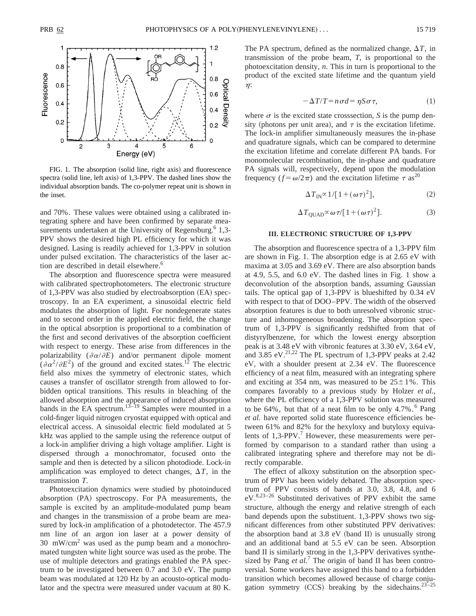

FIG. 1. The absorption (solid line, right axis) and fluorescence spectra (solid line, left axis) of 1,3-PPV. The dashed lines show the individual absorption bands. The co-polymer repeat unit is shown in the inset.

and 70%. These values were obtained using a calibrated integrating sphere and have been confirmed by separate measurements undertaken at the University of Regensburg.<sup>6</sup> 1,3-PPV shows the desired high PL efficiency for which it was designed. Lasing is readily achieved for 1,3-PPV in solution under pulsed excitation. The characteristics of the laser action are described in detail elsewhere.<sup>6</sup>

The absorption and fluorescence spectra were measured with calibrated spectrophotometers. The electronic structure of 1,3-PPV was also studied by electroabsorption  $(EA)$  spectroscopy. In an EA experiment, a sinusoidal electric field modulates the absorption of light. For nondegenerate states and to second order in the applied electric field, the change in the optical absorption is proportional to a combination of the first and second derivatives of the absorption coefficient with respect to energy. These arise from differences in the polarizability ( $\partial \alpha/\partial E$ ) and/or permanent dipole moment  $(\partial \alpha^2/\partial E^2)$  of the ground and excited states.<sup>12</sup> The electric field also mixes the symmetry of electronic states, which causes a transfer of oscillator strength from allowed to forbidden optical transitions. This results in bleaching of the allowed absorption and the appearance of induced absorption bands in the EA spectrum.<sup>13–19</sup> Samples were mounted in a cold-finger liquid nitrogen cryostat equipped with optical and electrical access. A sinusoidal electric field modulated at 5 kHz was applied to the sample using the reference output of a lock-in amplifier driving a high voltage amplifier. Light is dispersed through a monochromator, focused onto the sample and then is detected by a silicon photodiode. Lock-in amplification was employed to detect changes,  $\Delta T$ , in the transmission *T*.

Photoexcitation dynamics were studied by photoinduced absorption  $(PA)$  spectroscopy. For PA measurements, the sample is excited by an amplitude-modulated pump beam and changes in the transmission of a probe beam are measured by lock-in amplification of a photodetector. The 457.9 nm line of an argon ion laser at a power density of  $30 \, \text{mW/cm}^2$  was used as the pump beam and a monochromated tungsten white light source was used as the probe. The use of multiple detectors and gratings enabled the PA spectrum to be investigated between 0.7 and 3.0 eV. The pump beam was modulated at 120 Hz by an acousto-optical modulator and the spectra were measured under vacuum at 80 K. The PA spectrum, defined as the normalized change,  $\Delta T$ , in transmission of the probe beam, *T*, is proportional to the photoexcitation density, *n*. This in turn is proportional to the product of the excited state lifetime and the quantum yield  $\eta$ :

$$
-\Delta T/T = n\sigma d = \eta S \sigma \tau, \qquad (1)
$$

where  $\sigma$  is the excited state crosssection, *S* is the pump density (photons per unit area), and  $\tau$  is the excitation lifetime. The lock-in amplifier simultaneously measures the in-phase and quadrature signals, which can be compared to determine the excitation lifetime and correlate different PA bands. For monomolecular recombination, the in-phase and quadrature PA signals will, respectively, depend upon the modulation frequency ( $f = \omega/2\pi$ ) and the excitation lifetime  $\tau$  as<sup>20</sup>

$$
\Delta T_{\rm IN} \propto 1/[1+(\omega \tau)^2],\tag{2}
$$

$$
\Delta T_{\text{QUAD}} \propto \omega \,\tau / [1 + (\omega \,\tau)^2].\tag{3}
$$

#### **III. ELECTRONIC STRUCTURE OF 1,3-PPV**

The absorption and fluorescence spectra of a 1,3-PPV film are shown in Fig. 1. The absorption edge is at 2.65 eV with maxima at 3.05 and 3.69 eV. There are also absorption bands at 4.9, 5.5, and 6.0 eV. The dashed lines in Fig. 1 show a deconvolution of the absorption bands, assuming Gaussian tails. The optical gap of 1,3-PPV is blueshifted by 0.34 eV with respect to that of DOO–PPV. The width of the observed absorption features is due to both unresolved vibronic structure and inhomogeneous broadening. The absorption spectrum of 1,3-PPV is significantly redshifted from that of distyrylbenzene, for which the lowest energy absorption peak is at 3.48 eV with vibronic features at 3.30 eV, 3.64 eV, and  $3.85$  eV.<sup>21,22</sup> The PL spectrum of 1,3-PPV peaks at 2.42 eV, with a shoulder present at 2.34 eV. The fluorescence efficiency of a neat film, measured with an integrating sphere and exciting at 354 nm, was measured to be  $25 \pm 1\%$ . This compares favorably to a previous study by Holzer *et al.*, where the PL efficiency of a 1,3-PPV solution was measured to be  $64\%$ , but that of a neat film to be only  $4.7\%$ .<sup>6</sup> Pang *et al.* have reported solid state fluorescence efficiencies between 61% and 82% for the hexyloxy and butyloxy equivalents of 1,3-PPV.<sup>7</sup> However, these measurements were performed by comparison to a standard rather than using a calibrated integrating sphere and therefore may not be directly comparable.

The effect of alkoxy substitution on the absorption spectrum of PPV has been widely debated. The absorption spectrum of PPV consists of bands at 3.0, 3.8, 4.8, and 6  $eV^{8,23-26}$  Substituted derivatives of PPV exhibit the same structure, although the energy and relative strength of each band depends upon the substituent. 1,3-PPV shows two significant differences from other substituted PPV derivatives: the absorption band at  $3.8 \text{ eV}$  (band II) is unusually strong and an additional band at 5.5 eV can be seen. Absorption band II is similarly strong in the 1,3-PPV derivatives synthesized by Pang *et al.*<sup>7</sup> The origin of band II has been controversial. Some workers have assigned this band to a forbidden transition which becomes allowed because of charge conjugation symmetry  $(CCS)$  breaking by the sidechains.<sup>23-25</sup>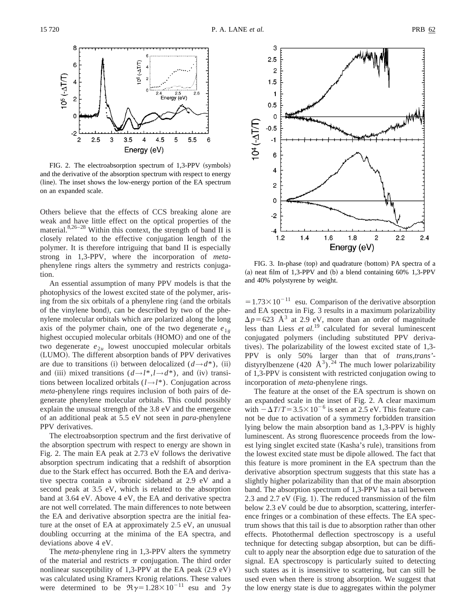

FIG. 2. The electroabsorption spectrum of  $1,3-PPV$  (symbols) and the derivative of the absorption spectrum with respect to energy (line). The inset shows the low-energy portion of the EA spectrum on an expanded scale.

Others believe that the effects of CCS breaking alone are weak and have little effect on the optical properties of the material. $8,26-28$  Within this context, the strength of band II is closely related to the effective conjugation length of the polymer. It is therefore intriguing that band II is especially strong in 1,3-PPV, where the incorporation of *meta*phenylene rings alters the symmetry and restricts conjugation.

An essential assumption of many PPV models is that the photophysics of the lowest excited state of the polymer, arising from the six orbitals of a phenylene ring (and the orbitals of the vinylene bond), can be described by two of the phenylene molecular orbitals which are polarized along the long axis of the polymer chain, one of the two degenerate  $e_{1g}$ highest occupied molecular orbitals (HOMO) and one of the two degenerate  $e_{2u}$  lowest unoccupied molecular orbitals (LUMO). The different absorption bands of PPV derivatives are due to transitions (i) between delocalized  $(d \rightarrow d^*)$ , (ii) and (iii) mixed transitions  $(d \rightarrow l^*, l \rightarrow d^*)$ , and (iv) transitions between localized orbitals (*l*→*l*\*). Conjugation across *meta*-phenylene rings requires inclusion of both pairs of degenerate phenylene molecular orbitals. This could possibly explain the unusual strength of the 3.8 eV and the emergence of an additional peak at 5.5 eV not seen in *para*-phenylene PPV derivatives.

The electroabsorption spectrum and the first derivative of the absorption spectrum with respect to energy are shown in Fig. 2. The main EA peak at 2.73 eV follows the derivative absorption spectrum indicating that a redshift of absorption due to the Stark effect has occurred. Both the EA and derivative spectra contain a vibronic sideband at 2.9 eV and a second peak at 3.5 eV, which is related to the absorption band at 3.64 eV. Above 4 eV, the EA and derivative spectra are not well correlated. The main differences to note between the EA and derivative absorption spectra are the initial feature at the onset of EA at approximately 2.5 eV, an unusual doubling occurring at the minima of the EA spectra, and deviations above 4 eV.

The *meta*-phenylene ring in 1,3-PPV alters the symmetry of the material and restricts  $\pi$  conjugation. The third order nonlinear susceptibility of 1,3-PPV at the EA peak  $(2.9 \text{ eV})$ was calculated using Kramers Kronig relations. These values were determined to be  $\Re \gamma = 1.28 \times 10^{-11}$  esu and  $\Im \gamma$ 



FIG. 3. In-phase (top) and quadrature (bottom) PA spectra of a (a) neat film of 1,3-PPV and (b) a blend containing  $60\%$  1,3-PPV and 40% polystyrene by weight.

 $=1.73\times10^{-11}$  esu. Comparison of the derivative absorption and EA spectra in Fig. 3 results in a maximum polarizability  $\Delta p$ =623 Å<sup>3</sup> at 2.9 eV, more than an order of magnitude less than Liess *et al.*<sup>19</sup> calculated for several luminescent conjugated polymers (including substituted PPV derivatives). The polarizability of the lowest excited state of  $1,3$ -PPV is only 50% larger than that of *trans,trans'* distyrylbenzene (420 Å<sup>3</sup>).<sup>24</sup> The much lower polarizability of 1,3-PPV is consistent with restricted conjugation owing to incorporation of *meta*-phenylene rings.

The feature at the onset of the EA spectrum is shown on an expanded scale in the inset of Fig. 2. A clear maximum with  $-\Delta T/T = 3.5 \times 10^{-6}$  is seen at 2.5 eV. This feature cannot be due to activation of a symmetry forbidden transition lying below the main absorption band as 1,3-PPV is highly luminescent. As strong fluorescence proceeds from the lowest lying singlet excited state (Kasha's rule), transitions from the lowest excited state must be dipole allowed. The fact that this feature is more prominent in the EA spectrum than the derivative absorption spectrum suggests that this state has a slightly higher polarizability than that of the main absorption band. The absorption spectrum of 1,3-PPV has a tail between 2.3 and 2.7 eV  $(Fig. 1)$ . The reduced transmission of the film below 2.3 eV could be due to absorption, scattering, interference fringes or a combination of these effects. The EA spectrum shows that this tail is due to absorption rather than other effects. Photothermal deflection spectroscopy is a useful technique for detecting subgap absorption, but can be difficult to apply near the absorption edge due to saturation of the signal. EA spectroscopy is particularly suited to detecting such states as it is insensitive to scattering, but can still be used even when there is strong absorption. We suggest that the low energy state is due to aggregates within the polymer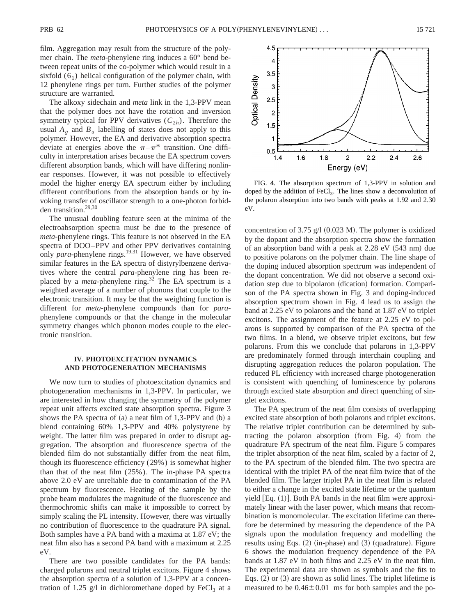film. Aggregation may result from the structure of the polymer chain. The *meta*-phenylene ring induces a 60° bend between repeat units of the co-polymer which would result in a sixfold  $(6<sub>1</sub>)$  helical configuration of the polymer chain, with 12 phenylene rings per turn. Further studies of the polymer structure are warranted.

The alkoxy sidechain and *meta* link in the 1,3-PPV mean that the polymer does not have the rotation and inversion symmetry typical for PPV derivatives  $(C_{2h})$ . Therefore the usual  $A_{\varphi}$  and  $B_{\mu}$  labelling of states does not apply to this polymer. However, the EA and derivative absorption spectra deviate at energies above the  $\pi-\pi^*$  transition. One difficulty in interpretation arises because the EA spectrum covers different absorption bands, which will have differing nonlinear responses. However, it was not possible to effectively model the higher energy EA spectrum either by including different contributions from the absorption bands or by invoking transfer of oscillator strength to a one-photon forbidden transition.<sup>29,30</sup>

The unusual doubling feature seen at the minima of the electroabsorption spectra must be due to the presence of *meta*-phenylene rings. This feature is not observed in the EA spectra of DOO–PPV and other PPV derivatives containing only *para*-phenylene rings.<sup>19,31</sup> However, we have observed similar features in the EA spectra of distyrylbenzene derivatives where the central *para*-phenylene ring has been replaced by a *meta*-phenylene ring.<sup>32</sup> The EA spectrum is a weighted average of a number of phonons that couple to the electronic transition. It may be that the weighting function is different for *meta*-phenylene compounds than for *para*phenylene compounds or that the change in the molecular symmetry changes which phonon modes couple to the electronic transition.

# **IV. PHOTOEXCITATION DYNAMICS AND PHOTOGENERATION MECHANISMS**

We now turn to studies of photoexcitation dynamics and photogeneration mechanisms in 1,3-PPV. In particular, we are interested in how changing the symmetry of the polymer repeat unit affects excited state absorption spectra. Figure 3 shows the PA spectra of  $(a)$  a neat film of 1,3-PPV and  $(b)$  a blend containing 60% 1,3-PPV and 40% polystyrene by weight. The latter film was prepared in order to disrupt aggregation. The absorption and fluorescence spectra of the blended film do not substantially differ from the neat film, though its fluorescence efficiency (29%) is somewhat higher than that of the neat film (25%). The in-phase PA spectra above 2.0 eV are unreliable due to contamination of the PA spectrum by fluorescence. Heating of the sample by the probe beam modulates the magnitude of the fluorescence and thermochromic shifts can make it impossible to correct by simply scaling the PL intensity. However, there was virtually no contribution of fluorescence to the quadrature PA signal. Both samples have a PA band with a maxima at 1.87 eV; the neat film also has a second PA band with a maximum at 2.25 eV.

There are two possible candidates for the PA bands: charged polarons and neutral triplet excitons. Figure 4 shows the absorption spectra of a solution of 1,3-PPV at a concentration of 1.25 g/l in dichloromethane doped by  $FeCl<sub>3</sub>$  at a



FIG. 4. The absorption spectrum of 1,3-PPV in solution and doped by the addition of  $FeCl<sub>3</sub>$ . The lines show a deconvolution of the polaron absorption into two bands with peaks at 1.92 and 2.30 eV.

concentration of 3.75 g/l  $(0.023 M)$ . The polymer is oxidized by the dopant and the absorption spectra show the formation of an absorption band with a peak at  $2.28$  eV  $(543$  nm) due to positive polarons on the polymer chain. The line shape of the doping induced absorption spectrum was independent of the dopant concentration. We did not observe a second oxidation step due to bipolaron (dication) formation. Comparison of the PA spectra shown in Fig. 3 and doping-induced absorption spectrum shown in Fig. 4 lead us to assign the band at 2.25 eV to polarons and the band at 1.87 eV to triplet excitons. The assignment of the feature at 2.25 eV to polarons is supported by comparison of the PA spectra of the two films. In a blend, we observe triplet excitons, but few polarons. From this we conclude that polarons in 1,3-PPV are predominately formed through interchain coupling and disrupting aggregation reduces the polaron population. The reduced PL efficiency with increased charge photogeneration is consistent with quenching of luminescence by polarons through excited state absorption and direct quenching of singlet excitons.

The PA spectrum of the neat film consists of overlapping excited state absorption of both polarons and triplet excitons. The relative triplet contribution can be determined by subtracting the polaron absorption (from Fig. 4) from the quadrature PA spectrum of the neat film. Figure 5 compares the triplet absorption of the neat film, scaled by a factor of 2, to the PA spectrum of the blended film. The two spectra are identical with the triplet PA of the neat film twice that of the blended film. The larger triplet PA in the neat film is related to either a change in the excited state lifetime or the quantum yield  $Eq. (1)$ . Both PA bands in the neat film were approximately linear with the laser power, which means that recombination is monomolecular. The excitation lifetime can therefore be determined by measuring the dependence of the PA signals upon the modulation frequency and modelling the results using Eqs.  $(2)$  (in-phase) and  $(3)$  (quadrature). Figure 6 shows the modulation frequency dependence of the PA bands at 1.87 eV in both films and 2.25 eV in the neat film. The experimental data are shown as symbols and the fits to Eqs.  $(2)$  or  $(3)$  are shown as solid lines. The triplet lifetime is measured to be  $0.46\pm0.01$  ms for both samples and the po-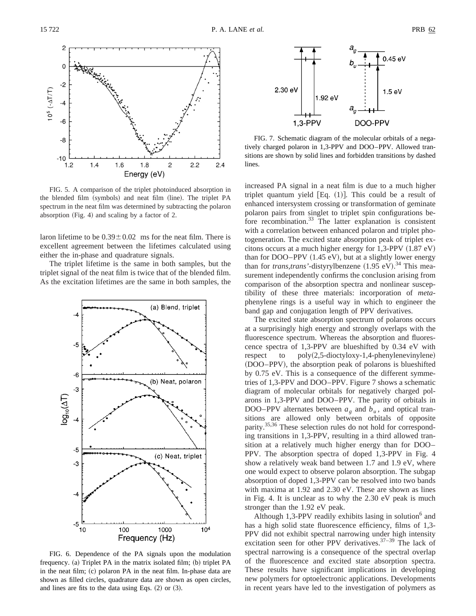

FIG. 5. A comparison of the triplet photoinduced absorption in the blended film (symbols) and neat film (line). The triplet PA spectrum in the neat film was determined by subtracting the polaron absorption  $(Fig. 4)$  and scaling by a factor of 2.

laron lifetime to be  $0.39 \pm 0.02$  ms for the neat film. There is excellent agreement between the lifetimes calculated using either the in-phase and quadrature signals.

The triplet lifetime is the same in both samples, but the triplet signal of the neat film is twice that of the blended film. As the excitation lifetimes are the same in both samples, the



FIG. 6. Dependence of the PA signals upon the modulation frequency.  $(a)$  Triplet PA in the matrix isolated film;  $(b)$  triplet PA in the neat film;  $(c)$  polaron PA in the neat film. In-phase data are shown as filled circles, quadrature data are shown as open circles, and lines are fits to the data using Eqs.  $(2)$  or  $(3)$ .



FIG. 7. Schematic diagram of the molecular orbitals of a negatively charged polaron in 1,3-PPV and DOO–PPV. Allowed transitions are shown by solid lines and forbidden transitions by dashed lines.

increased PA signal in a neat film is due to a much higher triplet quantum yield  $[Eq. (1)]$ . This could be a result of enhanced intersystem crossing or transformation of geminate polaron pairs from singlet to triplet spin configurations before recombination.33 The latter explanation is consistent with a correlation between enhanced polaron and triplet photogeneration. The excited state absorption peak of triplet excitons occurs at a much higher energy for  $1,3-PPV (1.87 \text{ eV})$ than for DOO–PPV  $(1.45 \text{ eV})$ , but at a slightly lower energy than for *trans,trans'*-distyrylbenzene  $(1.95 \text{ eV})$ .<sup>34</sup> This measurement independently confirms the conclusion arising from comparison of the absorption spectra and nonlinear susceptibility of these three materials: incorporation of *meta*phenylene rings is a useful way in which to engineer the band gap and conjugation length of PPV derivatives.

The excited state absorption spectrum of polarons occurs at a surprisingly high energy and strongly overlaps with the fluorescence spectrum. Whereas the absorption and fluorescence spectra of 1,3-PPV are blueshifted by 0.34 eV with respect to  $poly(2,5\text{-dioctyloxy-1},4\text{-phenylenevinylene})$ (DOO–PPV), the absorption peak of polarons is blueshifted by 0.75 eV. This is a consequence of the different symmetries of 1,3-PPV and DOO–PPV. Figure 7 shows a schematic diagram of molecular orbitals for negatively charged polarons in 1,3-PPV and DOO–PPV. The parity of orbitals in DOO–PPV alternates between  $a<sub>g</sub>$  and  $b<sub>u</sub>$ , and optical transitions are allowed only between orbitals of opposite parity.35,36 These selection rules do not hold for corresponding transitions in 1,3-PPV, resulting in a third allowed transition at a relatively much higher energy than for DOO– PPV. The absorption spectra of doped 1,3-PPV in Fig. 4 show a relatively weak band between 1.7 and 1.9 eV, where one would expect to observe polaron absorption. The subgap absorption of doped 1,3-PPV can be resolved into two bands with maxima at 1.92 and 2.30 eV. These are shown as lines in Fig. 4. It is unclear as to why the 2.30 eV peak is much stronger than the 1.92 eV peak.

Although 1,3-PPV readily exhibits lasing in solution<sup>6</sup> and has a high solid state fluorescence efficiency, films of 1,3- PPV did not exhibit spectral narrowing under high intensity excitation seen for other PPV derivatives. $37-39$  The lack of spectral narrowing is a consequence of the spectral overlap of the fluorescence and excited state absorption spectra. These results have significant implications in developing new polymers for optoelectronic applications. Developments in recent years have led to the investigation of polymers as